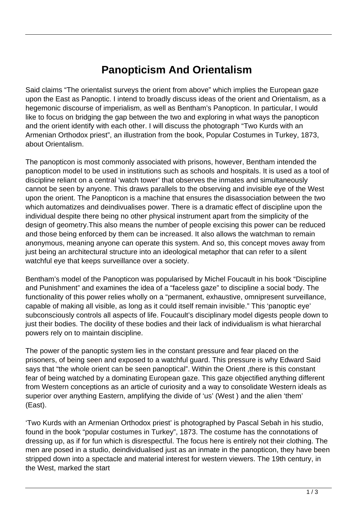## **Panopticism And Orientalism**

Said claims "The orientalist surveys the orient from above" which implies the European gaze upon the East as Panoptic. I intend to broadly discuss ideas of the orient and Orientalism, as a hegemonic discourse of imperialism, as well as Bentham's Panopticon. In particular, I would like to focus on bridging the gap between the two and exploring in what ways the panopticon and the orient identify with each other. I will discuss the photograph "Two Kurds with an Armenian Orthodox priest", an illustration from the book, Popular Costumes in Turkey, 1873, about Orientalism.

The panopticon is most commonly associated with prisons, however, Bentham intended the panopticon model to be used in institutions such as schools and hospitals. It is used as a tool of discipline reliant on a central 'watch tower' that observes the inmates and simultaneously cannot be seen by anyone. This draws parallels to the observing and invisible eye of the West upon the orient. The Panopticon is a machine that ensures the disassociation between the two which automatizes and deindivualises power. There is a dramatic effect of discipline upon the individual despite there being no other physical instrument apart from the simplicity of the design of geometry.This also means the number of people excising this power can be reduced and those being enforced by them can be increased. It also allows the watchman to remain anonymous, meaning anyone can operate this system. And so, this concept moves away from just being an architectural structure into an ideological metaphor that can refer to a silent watchful eye that keeps surveillance over a society.

Bentham's model of the Panopticon was popularised by Michel Foucault in his book "Discipline and Punishment" and examines the idea of a "faceless gaze" to discipline a social body. The functionality of this power relies wholly on a "permanent, exhaustive, omnipresent surveillance, capable of making all visible, as long as it could itself remain invisible." This 'panoptic eye' subconsciously controls all aspects of life. Foucault's disciplinary model digests people down to just their bodies. The docility of these bodies and their lack of individualism is what hierarchal powers rely on to maintain discipline.

The power of the panoptic system lies in the constant pressure and fear placed on the prisoners, of being seen and exposed to a watchful guard. This pressure is why Edward Said says that "the whole orient can be seen panoptical". Within the Orient ,there is this constant fear of being watched by a dominating European gaze. This gaze objectified anything different from Western conceptions as an article of curiosity and a way to consolidate Western ideals as superior over anything Eastern, amplifying the divide of 'us' (West ) and the alien 'them' (East).

'Two Kurds with an Armenian Orthodox priest' is photographed by Pascal Sebah in his studio, found in the book "popular costumes in Turkey", 1873. The costume has the connotations of dressing up, as if for fun which is disrespectful. The focus here is entirely not their clothing. The men are posed in a studio, deindividualised just as an inmate in the panopticon, they have been stripped down into a spectacle and material interest for western viewers. The 19th century, in the West, marked the start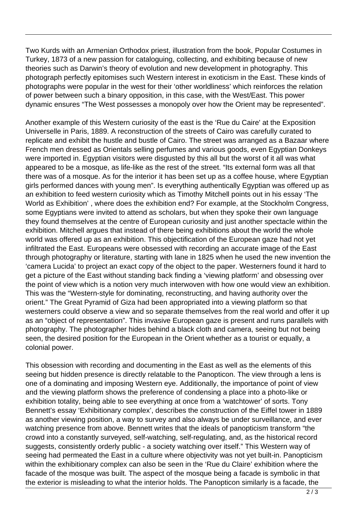Two Kurds with an Armenian Orthodox priest, illustration from the book, Popular Costumes in Turkey, 1873 of a new passion for cataloguing, collecting, and exhibiting because of new theories such as Darwin's theory of evolution and new development in photography. This photograph perfectly epitomises such Western interest in exoticism in the East. These kinds of photographs were popular in the west for their 'other worldliness' which reinforces the relation of power between such a binary opposition, in this case, with the West/East. This power dynamic ensures "The West possesses a monopoly over how the Orient may be represented".

Another example of this Western curiosity of the east is the 'Rue du Caire' at the Exposition Universelle in Paris, 1889. A reconstruction of the streets of Cairo was carefully curated to replicate and exhibit the hustle and bustle of Cairo. The street was arranged as a Bazaar where French men dressed as Orientals selling perfumes and various goods, even Egyptian Donkeys were imported in. Egyptian visitors were disgusted by this all but the worst of it all was what appeared to be a mosque, as life-like as the rest of the street. "Its external form was all that there was of a mosque. As for the interior it has been set up as a coffee house, where Egyptian girls performed dances with young men". Is everything authentically Egyptian was offered up as an exhibition to feed western curiosity which as Timothy Mitchell points out in his essay 'The World as Exhibition' , where does the exhibition end? For example, at the Stockholm Congress, some Egyptians were invited to attend as scholars, but when they spoke their own language they found themselves at the centre of European curiosity and just another spectacle within the exhibition. Mitchell argues that instead of there being exhibitions about the world the whole world was offered up as an exhibition. This objectification of the European gaze had not yet infiltrated the East. Europeans were obsessed with recording an accurate image of the East through photography or literature, starting with lane in 1825 when he used the new invention the 'camera Lucida' to project an exact copy of the object to the paper. Westerners found it hard to get a picture of the East without standing back finding a 'viewing platform' and obsessing over the point of view which is a notion very much interwoven with how one would view an exhibition. This was the "Western-style for dominating, reconstructing, and having authority over the orient." The Great Pyramid of Giza had been appropriated into a viewing platform so that westerners could observe a view and so separate themselves from the real world and offer it up as an "object of representation". This invasive European gaze is present and runs parallels with photography. The photographer hides behind a black cloth and camera, seeing but not being seen, the desired position for the European in the Orient whether as a tourist or equally, a colonial power.

This obsession with recording and documenting in the East as well as the elements of this seeing but hidden presence is directly relatable to the Panopticon. The view through a lens is one of a dominating and imposing Western eye. Additionally, the importance of point of view and the viewing platform shows the preference of condensing a place into a photo-like or exhibition totality, being able to see everything at once from a 'watchtower' of sorts. Tony Bennett's essay 'Exhibitionary complex', describes the construction of the Eiffel tower in 1889 as another viewing position, a way to survey and also always be under surveillance, and ever watching presence from above. Bennett writes that the ideals of panopticism transform "the crowd into a constantly surveyed, self-watching, self-regulating, and, as the historical record suggests, consistently orderly public - a society watching over itself." This Western way of seeing had permeated the East in a culture where objectivity was not yet built-in. Panopticism within the exhibitionary complex can also be seen in the 'Rue du Claire' exhibition where the facade of the mosque was built. The aspect of the mosque being a facade is symbolic in that the exterior is misleading to what the interior holds. The Panopticon similarly is a facade, the